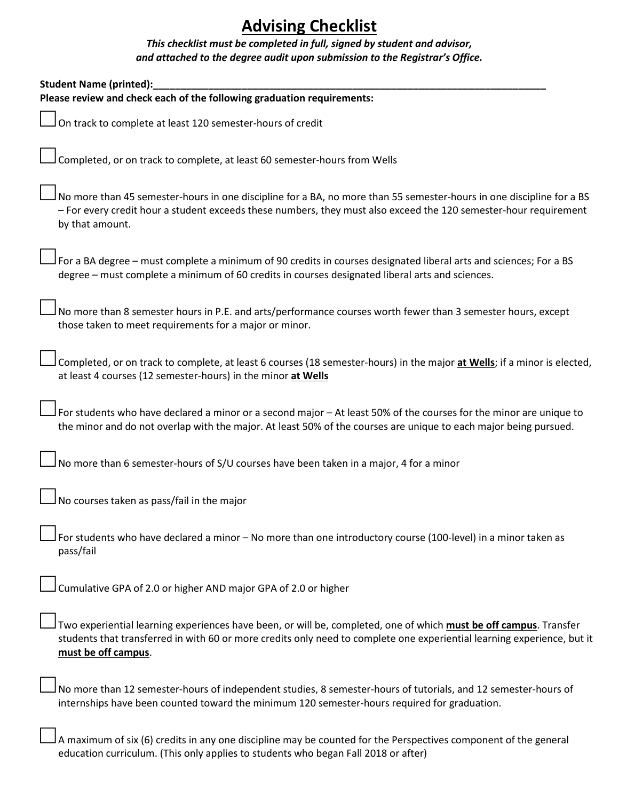## **Advising Checklist**

## *This checklist must be completed in full, signed by student and advisor, and attached to the degree audit upon submission to the Registrar's Office.*

| <b>Student Name (printed):</b>                                                                                                                                                                                                                                      |
|---------------------------------------------------------------------------------------------------------------------------------------------------------------------------------------------------------------------------------------------------------------------|
| Please review and check each of the following graduation requirements:                                                                                                                                                                                              |
| On track to complete at least 120 semester-hours of credit                                                                                                                                                                                                          |
| Completed, or on track to complete, at least 60 semester-hours from Wells                                                                                                                                                                                           |
| No more than 45 semester-hours in one discipline for a BA, no more than 55 semester-hours in one discipline for a BS<br>- For every credit hour a student exceeds these numbers, they must also exceed the 120 semester-hour requirement<br>by that amount.         |
| For a BA degree - must complete a minimum of 90 credits in courses designated liberal arts and sciences; For a BS<br>degree - must complete a minimum of 60 credits in courses designated liberal arts and sciences.                                                |
| No more than 8 semester hours in P.E. and arts/performance courses worth fewer than 3 semester hours, except<br>those taken to meet requirements for a major or minor.                                                                                              |
| Completed, or on track to complete, at least 6 courses (18 semester-hours) in the major at Wells; if a minor is elected,<br>at least 4 courses (12 semester-hours) in the minor at Wells                                                                            |
| $J$ For students who have declared a minor or a second major – At least 50% of the courses for the minor are unique to<br>the minor and do not overlap with the major. At least 50% of the courses are unique to each major being pursued.                          |
| No more than 6 semester-hours of S/U courses have been taken in a major, 4 for a minor                                                                                                                                                                              |
| No courses taken as pass/fail in the major                                                                                                                                                                                                                          |
| For students who have declared a minor - No more than one introductory course (100-level) in a minor taken as<br>pass/fail                                                                                                                                          |
| Cumulative GPA of 2.0 or higher AND major GPA of 2.0 or higher                                                                                                                                                                                                      |
| Two experiential learning experiences have been, or will be, completed, one of which must be off campus. Transfer<br>students that transferred in with 60 or more credits only need to complete one experiential learning experience, but it<br>must be off campus. |
| No more than 12 semester-hours of independent studies, 8 semester-hours of tutorials, and 12 semester-hours of<br>internships have been counted toward the minimum 120 semester-hours required for graduation.                                                      |
| A maximum of six (6) credits in any one discipline may be counted for the Perspectives component of the general<br>education curriculum. (This only applies to students who began Fall 2018 or after)                                                               |